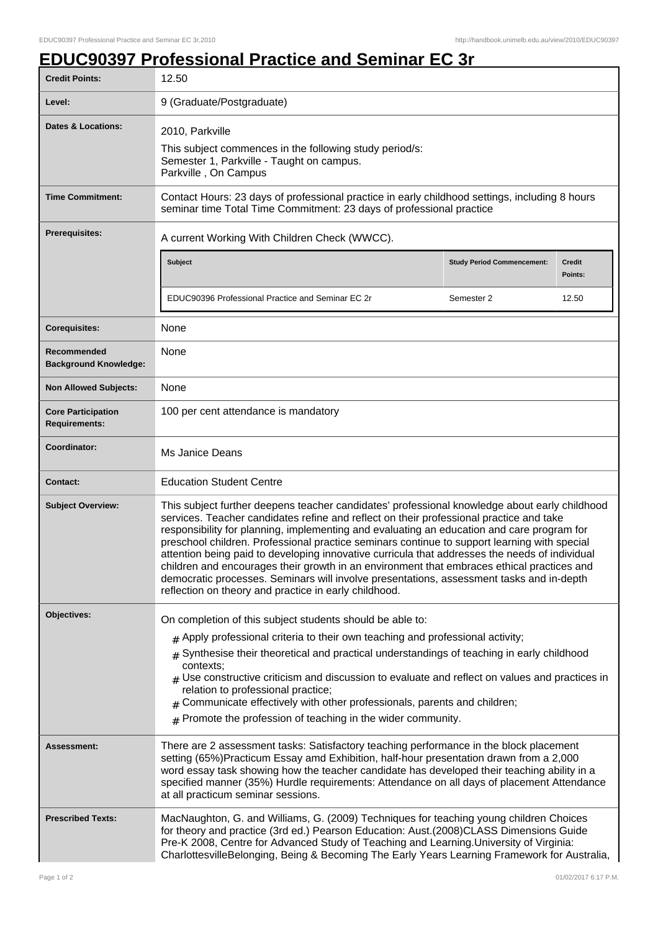## **EDUC90397 Professional Practice and Seminar EC 3r**

| <b>Credit Points:</b>                             | 12.50                                                                                                                                                                                                                                                                                                                                                                                                                                                                                                                                                                                                                                                                                                                                       |                                   |                   |
|---------------------------------------------------|---------------------------------------------------------------------------------------------------------------------------------------------------------------------------------------------------------------------------------------------------------------------------------------------------------------------------------------------------------------------------------------------------------------------------------------------------------------------------------------------------------------------------------------------------------------------------------------------------------------------------------------------------------------------------------------------------------------------------------------------|-----------------------------------|-------------------|
| Level:                                            | 9 (Graduate/Postgraduate)                                                                                                                                                                                                                                                                                                                                                                                                                                                                                                                                                                                                                                                                                                                   |                                   |                   |
| Dates & Locations:                                | 2010, Parkville<br>This subject commences in the following study period/s:<br>Semester 1, Parkville - Taught on campus.<br>Parkville, On Campus                                                                                                                                                                                                                                                                                                                                                                                                                                                                                                                                                                                             |                                   |                   |
| <b>Time Commitment:</b>                           | Contact Hours: 23 days of professional practice in early childhood settings, including 8 hours<br>seminar time Total Time Commitment: 23 days of professional practice                                                                                                                                                                                                                                                                                                                                                                                                                                                                                                                                                                      |                                   |                   |
| Prerequisites:                                    | A current Working With Children Check (WWCC).                                                                                                                                                                                                                                                                                                                                                                                                                                                                                                                                                                                                                                                                                               |                                   |                   |
|                                                   | Subject                                                                                                                                                                                                                                                                                                                                                                                                                                                                                                                                                                                                                                                                                                                                     | <b>Study Period Commencement:</b> | Credit<br>Points: |
|                                                   | EDUC90396 Professional Practice and Seminar EC 2r                                                                                                                                                                                                                                                                                                                                                                                                                                                                                                                                                                                                                                                                                           | Semester 2                        | 12.50             |
| <b>Corequisites:</b>                              | None                                                                                                                                                                                                                                                                                                                                                                                                                                                                                                                                                                                                                                                                                                                                        |                                   |                   |
| Recommended<br><b>Background Knowledge:</b>       | None                                                                                                                                                                                                                                                                                                                                                                                                                                                                                                                                                                                                                                                                                                                                        |                                   |                   |
| <b>Non Allowed Subjects:</b>                      | None                                                                                                                                                                                                                                                                                                                                                                                                                                                                                                                                                                                                                                                                                                                                        |                                   |                   |
| <b>Core Participation</b><br><b>Requirements:</b> | 100 per cent attendance is mandatory                                                                                                                                                                                                                                                                                                                                                                                                                                                                                                                                                                                                                                                                                                        |                                   |                   |
| Coordinator:                                      | Ms Janice Deans                                                                                                                                                                                                                                                                                                                                                                                                                                                                                                                                                                                                                                                                                                                             |                                   |                   |
| <b>Contact:</b>                                   | <b>Education Student Centre</b>                                                                                                                                                                                                                                                                                                                                                                                                                                                                                                                                                                                                                                                                                                             |                                   |                   |
| <b>Subject Overview:</b>                          | This subject further deepens teacher candidates' professional knowledge about early childhood<br>services. Teacher candidates refine and reflect on their professional practice and take<br>responsibility for planning, implementing and evaluating an education and care program for<br>preschool children. Professional practice seminars continue to support learning with special<br>attention being paid to developing innovative curricula that addresses the needs of individual<br>children and encourages their growth in an environment that embraces ethical practices and<br>democratic processes. Seminars will involve presentations, assessment tasks and in-depth<br>reflection on theory and practice in early childhood. |                                   |                   |
| Objectives:                                       | On completion of this subject students should be able to:                                                                                                                                                                                                                                                                                                                                                                                                                                                                                                                                                                                                                                                                                   |                                   |                   |
|                                                   | $_{\#}$ Apply professional criteria to their own teaching and professional activity;<br>Synthesise their theoretical and practical understandings of teaching in early childhood<br>contexts:<br>$_{\#}$ Use constructive criticism and discussion to evaluate and reflect on values and practices in<br>relation to professional practice;<br>Communicate effectively with other professionals, parents and children;<br>#<br>$#$ Promote the profession of teaching in the wider community.                                                                                                                                                                                                                                               |                                   |                   |
| Assessment:                                       | There are 2 assessment tasks: Satisfactory teaching performance in the block placement<br>setting (65%)Practicum Essay amd Exhibition, half-hour presentation drawn from a 2,000<br>word essay task showing how the teacher candidate has developed their teaching ability in a<br>specified manner (35%) Hurdle requirements: Attendance on all days of placement Attendance<br>at all practicum seminar sessions.                                                                                                                                                                                                                                                                                                                         |                                   |                   |
| <b>Prescribed Texts:</b>                          | MacNaughton, G. and Williams, G. (2009) Techniques for teaching young children Choices<br>for theory and practice (3rd ed.) Pearson Education: Aust.(2008)CLASS Dimensions Guide<br>Pre-K 2008, Centre for Advanced Study of Teaching and Learning. University of Virginia:<br>CharlottesvilleBelonging, Being & Becoming The Early Years Learning Framework for Australia,                                                                                                                                                                                                                                                                                                                                                                 |                                   |                   |